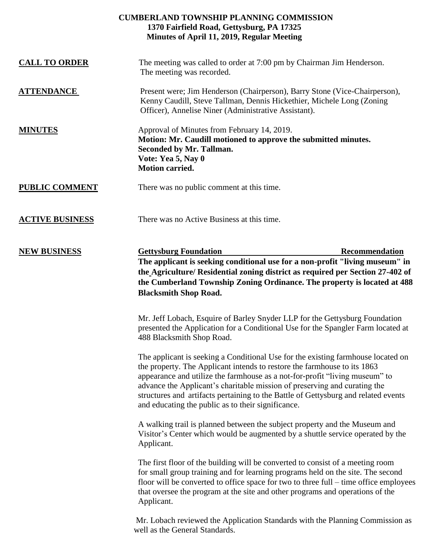## **CUMBERLAND TOWNSHIP PLANNING COMMISSION 1370 Fairfield Road, Gettysburg, PA 17325 Minutes of April 11, 2019, Regular Meeting**

| <b>CALL TO ORDER</b>   | The meeting was called to order at 7:00 pm by Chairman Jim Henderson.<br>The meeting was recorded.                                                                                                                                                                                                                                                                                                                                                                   |
|------------------------|----------------------------------------------------------------------------------------------------------------------------------------------------------------------------------------------------------------------------------------------------------------------------------------------------------------------------------------------------------------------------------------------------------------------------------------------------------------------|
| <b>ATTENDANCE</b>      | Present were; Jim Henderson (Chairperson), Barry Stone (Vice-Chairperson),<br>Kenny Caudill, Steve Tallman, Dennis Hickethier, Michele Long (Zoning<br>Officer), Annelise Niner (Administrative Assistant).                                                                                                                                                                                                                                                          |
| <b>MINUTES</b>         | Approval of Minutes from February 14, 2019.<br>Motion: Mr. Caudill motioned to approve the submitted minutes.<br>Seconded by Mr. Tallman.<br>Vote: Yea 5, Nay 0<br><b>Motion carried.</b>                                                                                                                                                                                                                                                                            |
| <b>PUBLIC COMMENT</b>  | There was no public comment at this time.                                                                                                                                                                                                                                                                                                                                                                                                                            |
| <b>ACTIVE BUSINESS</b> | There was no Active Business at this time.                                                                                                                                                                                                                                                                                                                                                                                                                           |
| <b>NEW BUSINESS</b>    | <b>Gettysburg Foundation</b><br>Recommendation<br>The applicant is seeking conditional use for a non-profit "living museum" in<br>the Agriculture/ Residential zoning district as required per Section 27-402 of<br>the Cumberland Township Zoning Ordinance. The property is located at 488<br><b>Blacksmith Shop Road.</b>                                                                                                                                         |
|                        | Mr. Jeff Lobach, Esquire of Barley Snyder LLP for the Gettysburg Foundation<br>presented the Application for a Conditional Use for the Spangler Farm located at<br>488 Blacksmith Shop Road.                                                                                                                                                                                                                                                                         |
|                        | The applicant is seeking a Conditional Use for the existing farmhouse located on<br>the property. The Applicant intends to restore the farmhouse to its 1863<br>appearance and utilize the farmhouse as a not-for-profit "living museum" to<br>advance the Applicant's charitable mission of preserving and curating the<br>structures and artifacts pertaining to the Battle of Gettysburg and related events<br>and educating the public as to their significance. |
|                        | A walking trail is planned between the subject property and the Museum and<br>Visitor's Center which would be augmented by a shuttle service operated by the<br>Applicant.                                                                                                                                                                                                                                                                                           |
|                        | The first floor of the building will be converted to consist of a meeting room<br>for small group training and for learning programs held on the site. The second<br>floor will be converted to office space for two to three full – time office employees<br>that oversee the program at the site and other programs and operations of the<br>Applicant.                                                                                                            |
|                        | Mr. Lobach reviewed the Application Standards with the Planning Commission as<br>well as the General Standards.                                                                                                                                                                                                                                                                                                                                                      |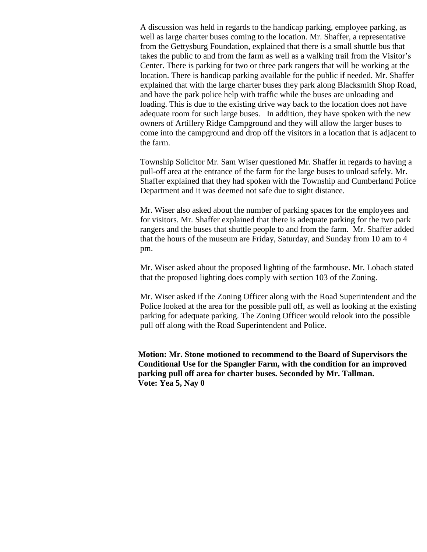A discussion was held in regards to the handicap parking, employee parking, as well as large charter buses coming to the location. Mr. Shaffer, a representative from the Gettysburg Foundation, explained that there is a small shuttle bus that takes the public to and from the farm as well as a walking trail from the Visitor's Center. There is parking for two or three park rangers that will be working at the location. There is handicap parking available for the public if needed. Mr. Shaffer explained that with the large charter buses they park along Blacksmith Shop Road, and have the park police help with traffic while the buses are unloading and loading. This is due to the existing drive way back to the location does not have adequate room for such large buses. In addition, they have spoken with the new owners of Artillery Ridge Campground and they will allow the larger buses to come into the campground and drop off the visitors in a location that is adjacent to the farm.

Township Solicitor Mr. Sam Wiser questioned Mr. Shaffer in regards to having a pull-off area at the entrance of the farm for the large buses to unload safely. Mr. Shaffer explained that they had spoken with the Township and Cumberland Police Department and it was deemed not safe due to sight distance.

Mr. Wiser also asked about the number of parking spaces for the employees and for visitors. Mr. Shaffer explained that there is adequate parking for the two park rangers and the buses that shuttle people to and from the farm. Mr. Shaffer added that the hours of the museum are Friday, Saturday, and Sunday from 10 am to 4 pm.

Mr. Wiser asked about the proposed lighting of the farmhouse. Mr. Lobach stated that the proposed lighting does comply with section 103 of the Zoning.

Mr. Wiser asked if the Zoning Officer along with the Road Superintendent and the Police looked at the area for the possible pull off, as well as looking at the existing parking for adequate parking. The Zoning Officer would relook into the possible pull off along with the Road Superintendent and Police.

**Motion: Mr. Stone motioned to recommend to the Board of Supervisors the Conditional Use for the Spangler Farm, with the condition for an improved parking pull off area for charter buses. Seconded by Mr. Tallman. Vote: Yea 5, Nay 0**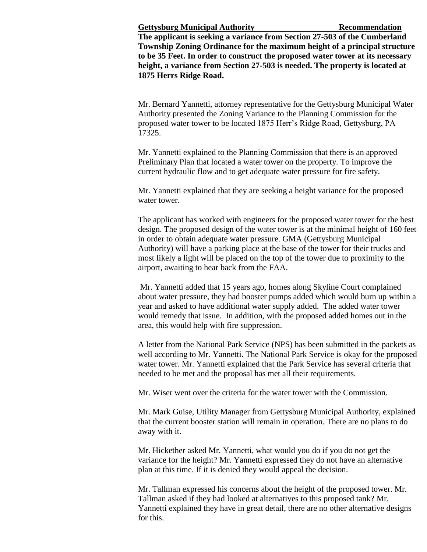**Gettysburg Municipal Authority Recommendation**

**The applicant is seeking a variance from Section 27-503 of the Cumberland Township Zoning Ordinance for the maximum height of a principal structure to be 35 Feet. In order to construct the proposed water tower at its necessary height, a variance from Section 27-503 is needed. The property is located at 1875 Herrs Ridge Road.** 

Mr. Bernard Yannetti, attorney representative for the Gettysburg Municipal Water Authority presented the Zoning Variance to the Planning Commission for the proposed water tower to be located 1875 Herr's Ridge Road, Gettysburg, PA 17325.

Mr. Yannetti explained to the Planning Commission that there is an approved Preliminary Plan that located a water tower on the property. To improve the current hydraulic flow and to get adequate water pressure for fire safety.

Mr. Yannetti explained that they are seeking a height variance for the proposed water tower.

The applicant has worked with engineers for the proposed water tower for the best design. The proposed design of the water tower is at the minimal height of 160 feet in order to obtain adequate water pressure. GMA (Gettysburg Municipal Authority) will have a parking place at the base of the tower for their trucks and most likely a light will be placed on the top of the tower due to proximity to the airport, awaiting to hear back from the FAA.

Mr. Yannetti added that 15 years ago, homes along Skyline Court complained about water pressure, they had booster pumps added which would burn up within a year and asked to have additional water supply added. The added water tower would remedy that issue. In addition, with the proposed added homes out in the area, this would help with fire suppression.

A letter from the National Park Service (NPS) has been submitted in the packets as well according to Mr. Yannetti. The National Park Service is okay for the proposed water tower. Mr. Yannetti explained that the Park Service has several criteria that needed to be met and the proposal has met all their requirements.

Mr. Wiser went over the criteria for the water tower with the Commission.

Mr. Mark Guise, Utility Manager from Gettysburg Municipal Authority, explained that the current booster station will remain in operation. There are no plans to do away with it.

Mr. Hickether asked Mr. Yannetti, what would you do if you do not get the variance for the height? Mr. Yannetti expressed they do not have an alternative plan at this time. If it is denied they would appeal the decision.

Mr. Tallman expressed his concerns about the height of the proposed tower. Mr. Tallman asked if they had looked at alternatives to this proposed tank? Mr. Yannetti explained they have in great detail, there are no other alternative designs for this.